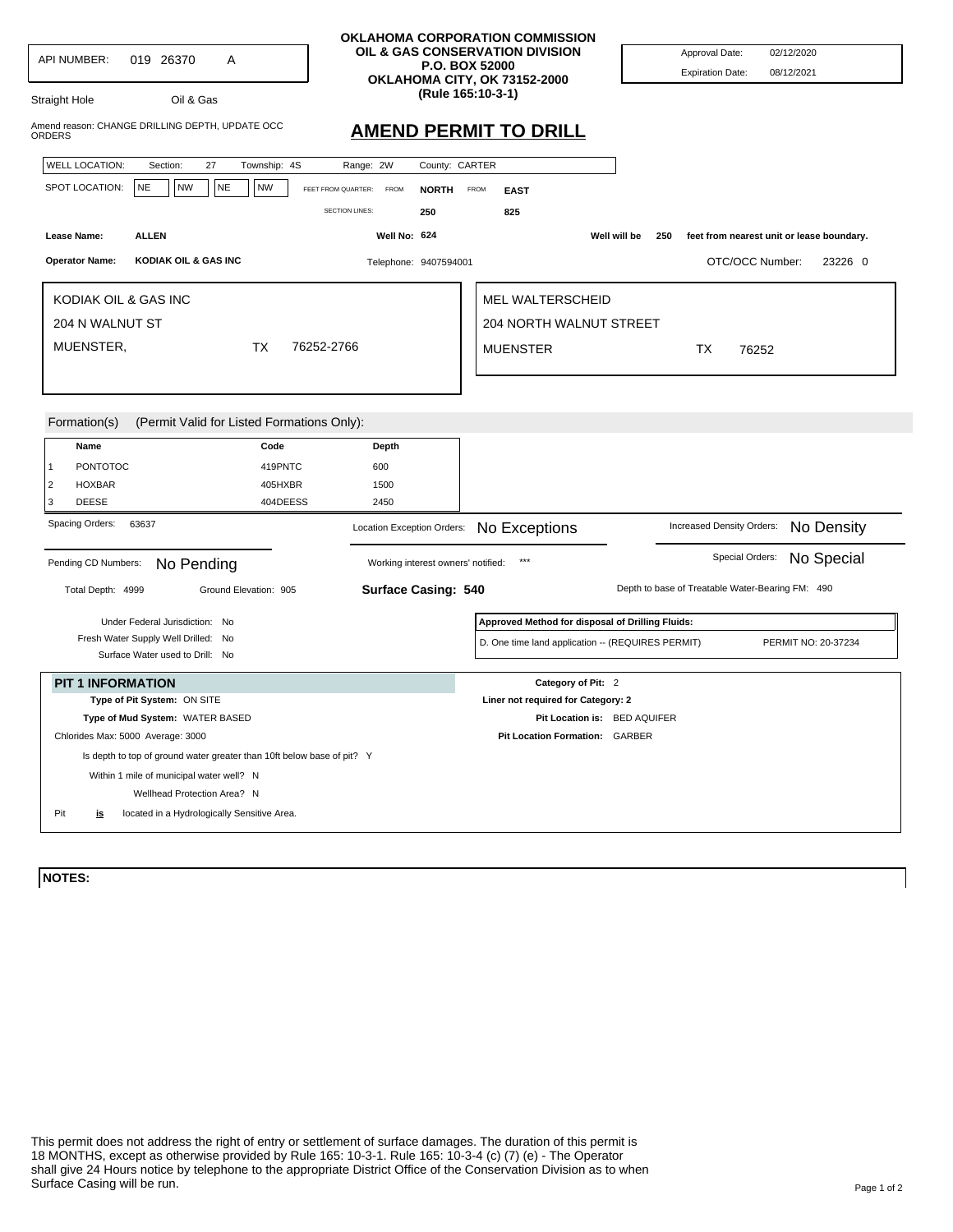| <b>API NUMBER:</b>                                                      | 019 26370                                                                  | Α                                                                      | <b>OKLAHOMA CORPORATION COMMISSION</b><br>OIL & GAS CONSERVATION DIVISION<br><b>P.O. BOX 52000</b><br>OKLAHOMA CITY, OK 73152-2000 |                                                   | Approval Date:<br><b>Expiration Date:</b>        | 02/12/2020<br>08/12/2021                  |
|-------------------------------------------------------------------------|----------------------------------------------------------------------------|------------------------------------------------------------------------|------------------------------------------------------------------------------------------------------------------------------------|---------------------------------------------------|--------------------------------------------------|-------------------------------------------|
| Straight Hole                                                           | Oil & Gas                                                                  |                                                                        | (Rule 165:10-3-1)                                                                                                                  |                                                   |                                                  |                                           |
| ORDERS                                                                  | Amend reason: CHANGE DRILLING DEPTH, UPDATE OCC                            |                                                                        | <b>AMEND PERMIT TO DRILL</b>                                                                                                       |                                                   |                                                  |                                           |
| <b>WELL LOCATION:</b>                                                   | 27<br>Section:                                                             | Township: 4S                                                           | Range: 2W<br>County: CARTER                                                                                                        |                                                   |                                                  |                                           |
| SPOT LOCATION:                                                          | <b>NE</b><br><b>NW</b>                                                     | <b>NE</b><br><b>NW</b>                                                 | FEET FROM QUARTER:<br><b>FROM</b><br><b>NORTH</b>                                                                                  | FROM<br><b>EAST</b>                               |                                                  |                                           |
|                                                                         |                                                                            |                                                                        | <b>SECTION LINES:</b><br>250                                                                                                       | 825                                               |                                                  |                                           |
| Lease Name:                                                             | <b>ALLEN</b>                                                               |                                                                        | Well No: 624                                                                                                                       |                                                   | Well will be<br>250                              | feet from nearest unit or lease boundary. |
|                                                                         |                                                                            |                                                                        |                                                                                                                                    |                                                   |                                                  |                                           |
| <b>Operator Name:</b>                                                   | KODIAK OIL & GAS INC                                                       |                                                                        | Telephone: 9407594001                                                                                                              |                                                   |                                                  | OTC/OCC Number:<br>23226 0                |
| KODIAK OIL & GAS INC                                                    |                                                                            |                                                                        |                                                                                                                                    | <b>MEL WALTERSCHEID</b>                           |                                                  |                                           |
|                                                                         |                                                                            |                                                                        |                                                                                                                                    | <b>204 NORTH WALNUT STREET</b>                    |                                                  |                                           |
| 204 N WALNUT ST                                                         |                                                                            |                                                                        |                                                                                                                                    |                                                   |                                                  |                                           |
| MUENSTER,                                                               |                                                                            | <b>TX</b><br>76252-2766                                                |                                                                                                                                    | <b>MUENSTER</b>                                   | <b>TX</b>                                        | 76252                                     |
|                                                                         |                                                                            |                                                                        |                                                                                                                                    |                                                   |                                                  |                                           |
| Formation(s)<br>Name                                                    |                                                                            | (Permit Valid for Listed Formations Only):<br>Code                     | <b>Depth</b>                                                                                                                       |                                                   |                                                  |                                           |
| <b>PONTOTOC</b><br>$\mathbf{1}$                                         |                                                                            | 419PNTC                                                                | 600                                                                                                                                |                                                   |                                                  |                                           |
| $\overline{2}$<br><b>HOXBAR</b>                                         |                                                                            | 405HXBR                                                                | 1500                                                                                                                               |                                                   |                                                  |                                           |
| <b>DEESE</b><br>3                                                       |                                                                            | 404DEESS                                                               | 2450                                                                                                                               |                                                   |                                                  |                                           |
| Spacing Orders:                                                         | 63637                                                                      |                                                                        | Location Exception Orders:                                                                                                         | No Exceptions                                     | Increased Density Orders:                        | No Density                                |
| Pending CD Numbers:<br>No Pending<br>Working interest owners' notified: |                                                                            |                                                                        |                                                                                                                                    | $***$                                             |                                                  | No Special<br>Special Orders:             |
| Total Depth: 4999                                                       |                                                                            | Ground Elevation: 905                                                  | <b>Surface Casing: 540</b>                                                                                                         |                                                   | Depth to base of Treatable Water-Bearing FM: 490 |                                           |
|                                                                         | Under Federal Jurisdiction: No                                             |                                                                        |                                                                                                                                    | Approved Method for disposal of Drilling Fluids:  |                                                  |                                           |
|                                                                         | Fresh Water Supply Well Drilled: No                                        |                                                                        |                                                                                                                                    | D. One time land application -- (REQUIRES PERMIT) |                                                  | PERMIT NO: 20-37234                       |
|                                                                         | Surface Water used to Drill: No                                            |                                                                        |                                                                                                                                    |                                                   |                                                  |                                           |
| <b>PIT 1 INFORMATION</b>                                                |                                                                            |                                                                        |                                                                                                                                    | Category of Pit: 2                                |                                                  |                                           |
| Type of Pit System: ON SITE                                             |                                                                            |                                                                        |                                                                                                                                    | Liner not required for Category: 2                |                                                  |                                           |
| Type of Mud System: WATER BASED                                         |                                                                            |                                                                        |                                                                                                                                    | Pit Location is: BED AQUIFER                      |                                                  |                                           |
|                                                                         | Chlorides Max: 5000 Average: 3000                                          |                                                                        |                                                                                                                                    | Pit Location Formation: GARBER                    |                                                  |                                           |
|                                                                         |                                                                            | Is depth to top of ground water greater than 10ft below base of pit? Y |                                                                                                                                    |                                                   |                                                  |                                           |
|                                                                         | Within 1 mile of municipal water well? N                                   |                                                                        |                                                                                                                                    |                                                   |                                                  |                                           |
|                                                                         |                                                                            |                                                                        |                                                                                                                                    |                                                   |                                                  |                                           |
| Pit                                                                     | Wellhead Protection Area? N<br>located in a Hydrologically Sensitive Area. |                                                                        |                                                                                                                                    |                                                   |                                                  |                                           |

## **NOTES:**